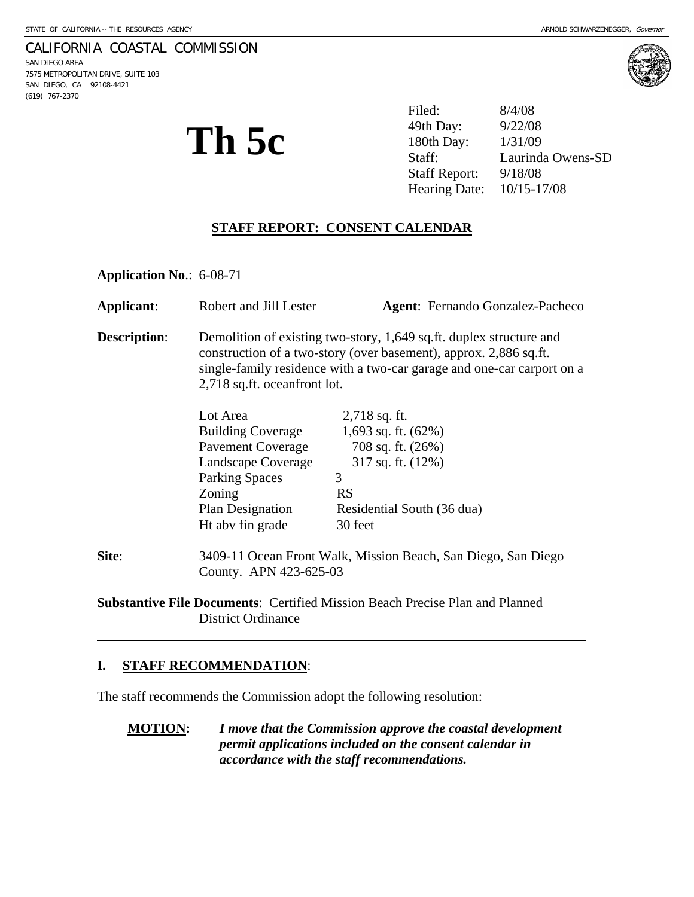### CALIFORNIA COASTAL COMMISSION

SAN DIEGO AREA 7575 METROPOLITAN DRIVE, SUITE 103 SAN DIEGO, CA 92108-4421 (619) 767-2370



**Th 5c**  $\sum_{\text{Staff:}}^{49th \text{ Day:}}$   $\frac{9/22/08}{1/31/09}$ Filed: 8/4/08 Staff: Laurinda Owens-SD Staff Report: 9/18/08 Hearing Date: 10/15-17/08

## **STAFF REPORT: CONSENT CALENDAR**

**Application No**.: 6-08-71

| Applicant:          | Robert and Jill Lester                                                                                                                                                                                                                             |                            | <b>Agent:</b> Fernando Gonzalez-Pacheco |
|---------------------|----------------------------------------------------------------------------------------------------------------------------------------------------------------------------------------------------------------------------------------------------|----------------------------|-----------------------------------------|
| <b>Description:</b> | Demolition of existing two-story, 1,649 sq.ft. duplex structure and<br>construction of a two-story (over basement), approx. 2,886 sq.ft.<br>single-family residence with a two-car garage and one-car carport on a<br>2,718 sq.ft. oceanfront lot. |                            |                                         |
|                     | Lot Area                                                                                                                                                                                                                                           | $2,718$ sq. ft.            |                                         |
|                     | <b>Building Coverage</b>                                                                                                                                                                                                                           | 1,693 sq. ft. $(62\%)$     |                                         |
|                     | Pavement Coverage                                                                                                                                                                                                                                  | 708 sq. ft. $(26%)$        |                                         |
|                     | Landscape Coverage                                                                                                                                                                                                                                 | 317 sq. ft. $(12%)$        |                                         |
|                     | <b>Parking Spaces</b>                                                                                                                                                                                                                              | 3                          |                                         |
|                     | Zoning                                                                                                                                                                                                                                             | <b>RS</b>                  |                                         |
|                     | <b>Plan Designation</b>                                                                                                                                                                                                                            | Residential South (36 dua) |                                         |
|                     | Ht aby fin grade                                                                                                                                                                                                                                   | 30 feet                    |                                         |
| Site:               | 3409-11 Ocean Front Walk, Mission Beach, San Diego, San Diego<br>County. APN 423-625-03                                                                                                                                                            |                            |                                         |
|                     | Cubatonting File Degumenta: Centified Mission Deegh Ducates Dlan and Dlanned                                                                                                                                                                       |                            |                                         |

**Substantive File Documents**: Certified Mission Beach Precise Plan and Planned District Ordinance

### **I. STAFF RECOMMENDATION**:

 $\overline{a}$ 

The staff recommends the Commission adopt the following resolution:

**MOTION:** *I move that the Commission approve the coastal development permit applications included on the consent calendar in accordance with the staff recommendations.*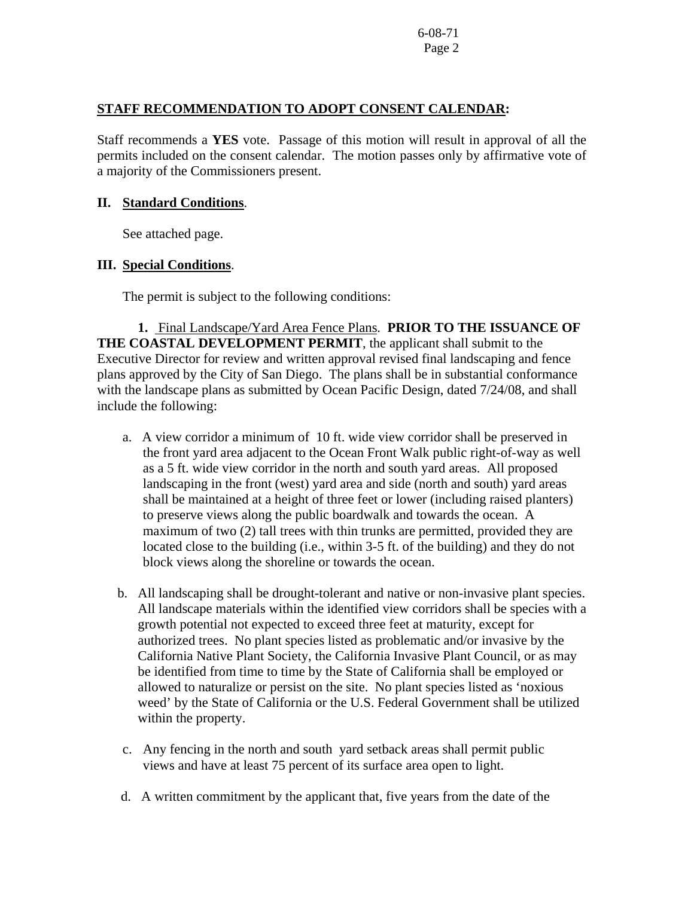# **STAFF RECOMMENDATION TO ADOPT CONSENT CALENDAR:**

Staff recommends a **YES** vote. Passage of this motion will result in approval of all the permits included on the consent calendar. The motion passes only by affirmative vote of a majority of the Commissioners present.

## **II. Standard Conditions**.

See attached page.

## **III. Special Conditions**.

The permit is subject to the following conditions:

 **1.** Final Landscape/Yard Area Fence Plans. **PRIOR TO THE ISSUANCE OF THE COASTAL DEVELOPMENT PERMIT**, the applicant shall submit to the Executive Director for review and written approval revised final landscaping and fence plans approved by the City of San Diego. The plans shall be in substantial conformance with the landscape plans as submitted by Ocean Pacific Design, dated 7/24/08, and shall include the following:

- a. A view corridor a minimum of 10 ft. wide view corridor shall be preserved in the front yard area adjacent to the Ocean Front Walk public right-of-way as well as a 5 ft. wide view corridor in the north and south yard areas. All proposed landscaping in the front (west) yard area and side (north and south) yard areas shall be maintained at a height of three feet or lower (including raised planters) to preserve views along the public boardwalk and towards the ocean. A maximum of two (2) tall trees with thin trunks are permitted, provided they are located close to the building (i.e., within 3-5 ft. of the building) and they do not block views along the shoreline or towards the ocean.
- b. All landscaping shall be drought-tolerant and native or non-invasive plant species. All landscape materials within the identified view corridors shall be species with a growth potential not expected to exceed three feet at maturity, except for authorized trees. No plant species listed as problematic and/or invasive by the California Native Plant Society, the California Invasive Plant Council, or as may be identified from time to time by the State of California shall be employed or allowed to naturalize or persist on the site. No plant species listed as 'noxious weed' by the State of California or the U.S. Federal Government shall be utilized within the property.
- c. Any fencing in the north and south yard setback areas shall permit public views and have at least 75 percent of its surface area open to light.
- d. A written commitment by the applicant that, five years from the date of the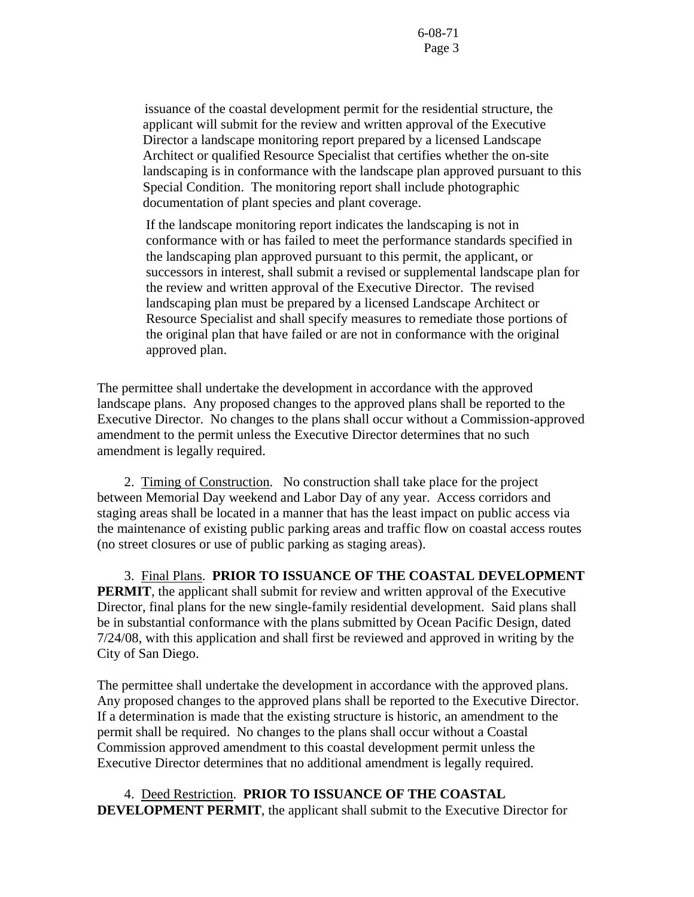issuance of the coastal development permit for the residential structure, the applicant will submit for the review and written approval of the Executive Director a landscape monitoring report prepared by a licensed Landscape Architect or qualified Resource Specialist that certifies whether the on-site landscaping is in conformance with the landscape plan approved pursuant to this Special Condition. The monitoring report shall include photographic documentation of plant species and plant coverage.

If the landscape monitoring report indicates the landscaping is not in conformance with or has failed to meet the performance standards specified in the landscaping plan approved pursuant to this permit, the applicant, or successors in interest, shall submit a revised or supplemental landscape plan for the review and written approval of the Executive Director. The revised landscaping plan must be prepared by a licensed Landscape Architect or Resource Specialist and shall specify measures to remediate those portions of the original plan that have failed or are not in conformance with the original approved plan.

The permittee shall undertake the development in accordance with the approved landscape plans. Any proposed changes to the approved plans shall be reported to the Executive Director. No changes to the plans shall occur without a Commission-approved amendment to the permit unless the Executive Director determines that no such amendment is legally required.

 2. Timing of Construction.No construction shall take place for the project between Memorial Day weekend and Labor Day of any year. Access corridors and staging areas shall be located in a manner that has the least impact on public access via the maintenance of existing public parking areas and traffic flow on coastal access routes (no street closures or use of public parking as staging areas).

3. Final Plans. **PRIOR TO ISSUANCE OF THE COASTAL DEVELOPMENT PERMIT**, the applicant shall submit for review and written approval of the Executive Director, final plans for the new single-family residential development. Said plans shall be in substantial conformance with the plans submitted by Ocean Pacific Design, dated 7/24/08, with this application and shall first be reviewed and approved in writing by the City of San Diego.

The permittee shall undertake the development in accordance with the approved plans. Any proposed changes to the approved plans shall be reported to the Executive Director. If a determination is made that the existing structure is historic, an amendment to the permit shall be required. No changes to the plans shall occur without a Coastal Commission approved amendment to this coastal development permit unless the Executive Director determines that no additional amendment is legally required.

 4.Deed Restriction. **PRIOR TO ISSUANCE OF THE COASTAL DEVELOPMENT PERMIT**, the applicant shall submit to the Executive Director for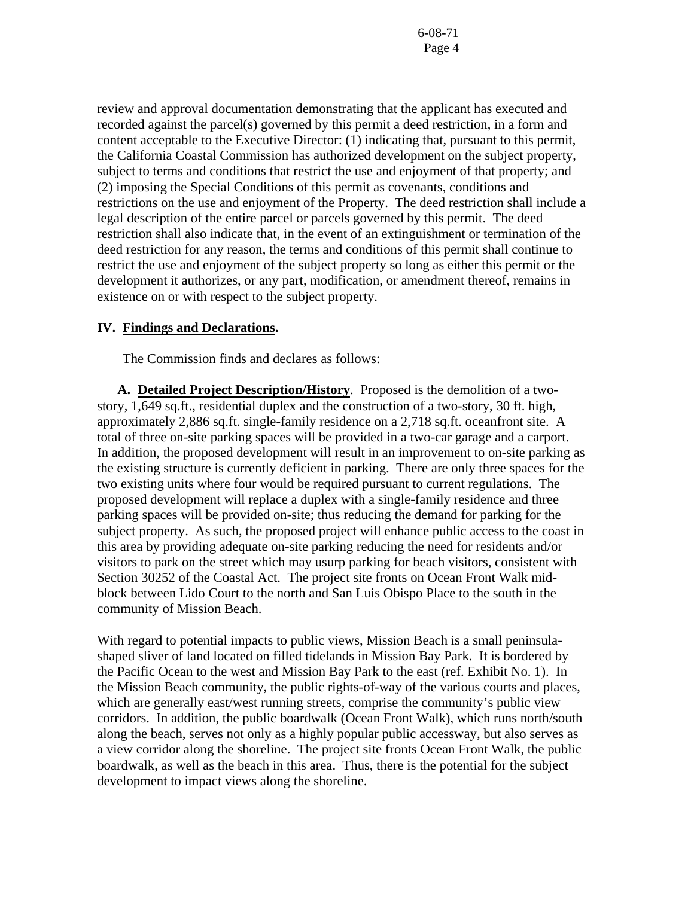review and approval documentation demonstrating that the applicant has executed and recorded against the parcel(s) governed by this permit a deed restriction, in a form and content acceptable to the Executive Director: (1) indicating that, pursuant to this permit, the California Coastal Commission has authorized development on the subject property, subject to terms and conditions that restrict the use and enjoyment of that property; and (2) imposing the Special Conditions of this permit as covenants, conditions and restrictions on the use and enjoyment of the Property. The deed restriction shall include a legal description of the entire parcel or parcels governed by this permit. The deed restriction shall also indicate that, in the event of an extinguishment or termination of the deed restriction for any reason, the terms and conditions of this permit shall continue to restrict the use and enjoyment of the subject property so long as either this permit or the development it authorizes, or any part, modification, or amendment thereof, remains in existence on or with respect to the subject property.

## **IV. Findings and Declarations.**

The Commission finds and declares as follows:

**A. Detailed Project Description/History**. Proposed is the demolition of a twostory, 1,649 sq.ft., residential duplex and the construction of a two-story, 30 ft. high, approximately 2,886 sq.ft. single-family residence on a 2,718 sq.ft. oceanfront site. A total of three on-site parking spaces will be provided in a two-car garage and a carport. In addition, the proposed development will result in an improvement to on-site parking as the existing structure is currently deficient in parking. There are only three spaces for the two existing units where four would be required pursuant to current regulations. The proposed development will replace a duplex with a single-family residence and three parking spaces will be provided on-site; thus reducing the demand for parking for the subject property. As such, the proposed project will enhance public access to the coast in this area by providing adequate on-site parking reducing the need for residents and/or visitors to park on the street which may usurp parking for beach visitors, consistent with Section 30252 of the Coastal Act. The project site fronts on Ocean Front Walk midblock between Lido Court to the north and San Luis Obispo Place to the south in the community of Mission Beach.

With regard to potential impacts to public views, Mission Beach is a small peninsulashaped sliver of land located on filled tidelands in Mission Bay Park. It is bordered by the Pacific Ocean to the west and Mission Bay Park to the east (ref. Exhibit No. 1). In the Mission Beach community, the public rights-of-way of the various courts and places, which are generally east/west running streets, comprise the community's public view corridors. In addition, the public boardwalk (Ocean Front Walk), which runs north/south along the beach, serves not only as a highly popular public accessway, but also serves as a view corridor along the shoreline. The project site fronts Ocean Front Walk, the public boardwalk, as well as the beach in this area. Thus, there is the potential for the subject development to impact views along the shoreline.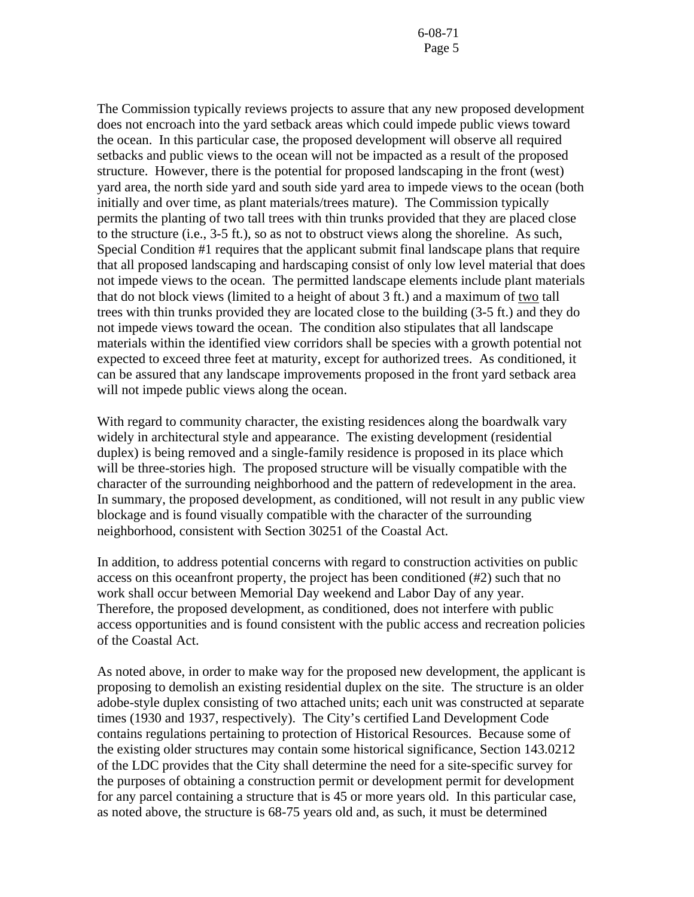The Commission typically reviews projects to assure that any new proposed development does not encroach into the yard setback areas which could impede public views toward the ocean. In this particular case, the proposed development will observe all required setbacks and public views to the ocean will not be impacted as a result of the proposed structure. However, there is the potential for proposed landscaping in the front (west) yard area, the north side yard and south side yard area to impede views to the ocean (both initially and over time, as plant materials/trees mature). The Commission typically permits the planting of two tall trees with thin trunks provided that they are placed close to the structure (i.e., 3-5 ft.), so as not to obstruct views along the shoreline. As such, Special Condition #1 requires that the applicant submit final landscape plans that require that all proposed landscaping and hardscaping consist of only low level material that does not impede views to the ocean. The permitted landscape elements include plant materials that do not block views (limited to a height of about 3 ft.) and a maximum of two tall trees with thin trunks provided they are located close to the building (3-5 ft.) and they do not impede views toward the ocean. The condition also stipulates that all landscape materials within the identified view corridors shall be species with a growth potential not expected to exceed three feet at maturity, except for authorized trees. As conditioned, it can be assured that any landscape improvements proposed in the front yard setback area will not impede public views along the ocean.

With regard to community character, the existing residences along the boardwalk vary widely in architectural style and appearance. The existing development (residential duplex) is being removed and a single-family residence is proposed in its place which will be three-stories high. The proposed structure will be visually compatible with the character of the surrounding neighborhood and the pattern of redevelopment in the area. In summary, the proposed development, as conditioned, will not result in any public view blockage and is found visually compatible with the character of the surrounding neighborhood, consistent with Section 30251 of the Coastal Act.

In addition, to address potential concerns with regard to construction activities on public access on this oceanfront property, the project has been conditioned (#2) such that no work shall occur between Memorial Day weekend and Labor Day of any year. Therefore, the proposed development, as conditioned, does not interfere with public access opportunities and is found consistent with the public access and recreation policies of the Coastal Act.

As noted above, in order to make way for the proposed new development, the applicant is proposing to demolish an existing residential duplex on the site. The structure is an older adobe-style duplex consisting of two attached units; each unit was constructed at separate times (1930 and 1937, respectively). The City's certified Land Development Code contains regulations pertaining to protection of Historical Resources. Because some of the existing older structures may contain some historical significance, Section 143.0212 of the LDC provides that the City shall determine the need for a site-specific survey for the purposes of obtaining a construction permit or development permit for development for any parcel containing a structure that is 45 or more years old. In this particular case, as noted above, the structure is 68-75 years old and, as such, it must be determined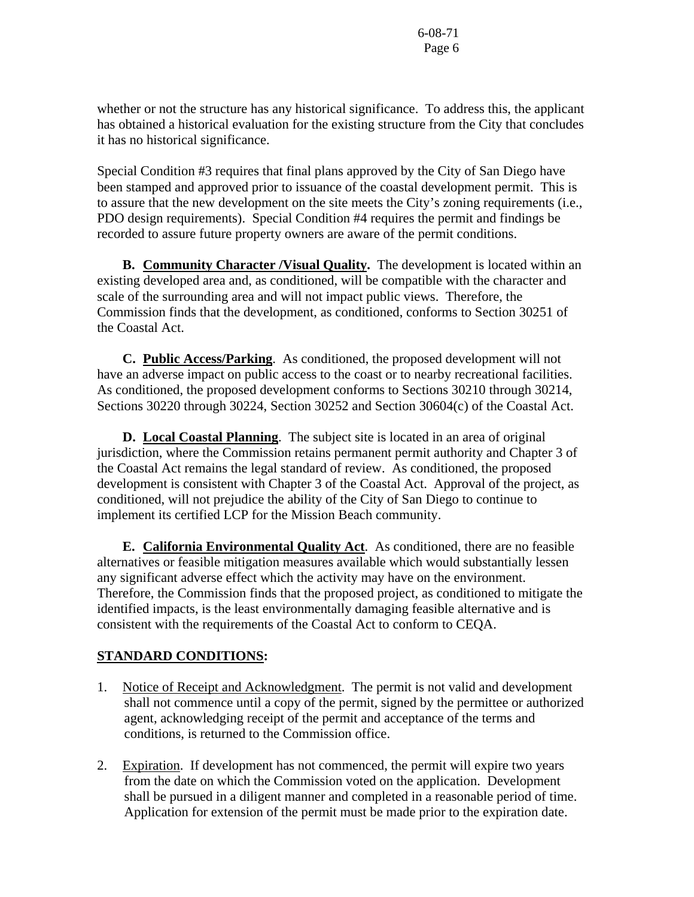whether or not the structure has any historical significance. To address this, the applicant has obtained a historical evaluation for the existing structure from the City that concludes it has no historical significance.

Special Condition #3 requires that final plans approved by the City of San Diego have been stamped and approved prior to issuance of the coastal development permit. This is to assure that the new development on the site meets the City's zoning requirements (i.e., PDO design requirements). Special Condition #4 requires the permit and findings be recorded to assure future property owners are aware of the permit conditions.

 **B. Community Character /Visual Quality.** The development is located within an existing developed area and, as conditioned, will be compatible with the character and scale of the surrounding area and will not impact public views. Therefore, the Commission finds that the development, as conditioned, conforms to Section 30251 of the Coastal Act.

**C. Public Access/Parking**. As conditioned, the proposed development will not have an adverse impact on public access to the coast or to nearby recreational facilities. As conditioned, the proposed development conforms to Sections 30210 through 30214, Sections 30220 through 30224, Section 30252 and Section 30604(c) of the Coastal Act.

 **D. Local Coastal Planning**. The subject site is located in an area of original jurisdiction, where the Commission retains permanent permit authority and Chapter 3 of the Coastal Act remains the legal standard of review. As conditioned, the proposed development is consistent with Chapter 3 of the Coastal Act. Approval of the project, as conditioned, will not prejudice the ability of the City of San Diego to continue to implement its certified LCP for the Mission Beach community.

 **E. California Environmental Quality Act**. As conditioned, there are no feasible alternatives or feasible mitigation measures available which would substantially lessen any significant adverse effect which the activity may have on the environment. Therefore, the Commission finds that the proposed project, as conditioned to mitigate the identified impacts, is the least environmentally damaging feasible alternative and is consistent with the requirements of the Coastal Act to conform to CEQA.

# **STANDARD CONDITIONS:**

- 1. Notice of Receipt and Acknowledgment. The permit is not valid and development shall not commence until a copy of the permit, signed by the permittee or authorized agent, acknowledging receipt of the permit and acceptance of the terms and conditions, is returned to the Commission office.
- 2. Expiration. If development has not commenced, the permit will expire two years from the date on which the Commission voted on the application. Development shall be pursued in a diligent manner and completed in a reasonable period of time. Application for extension of the permit must be made prior to the expiration date.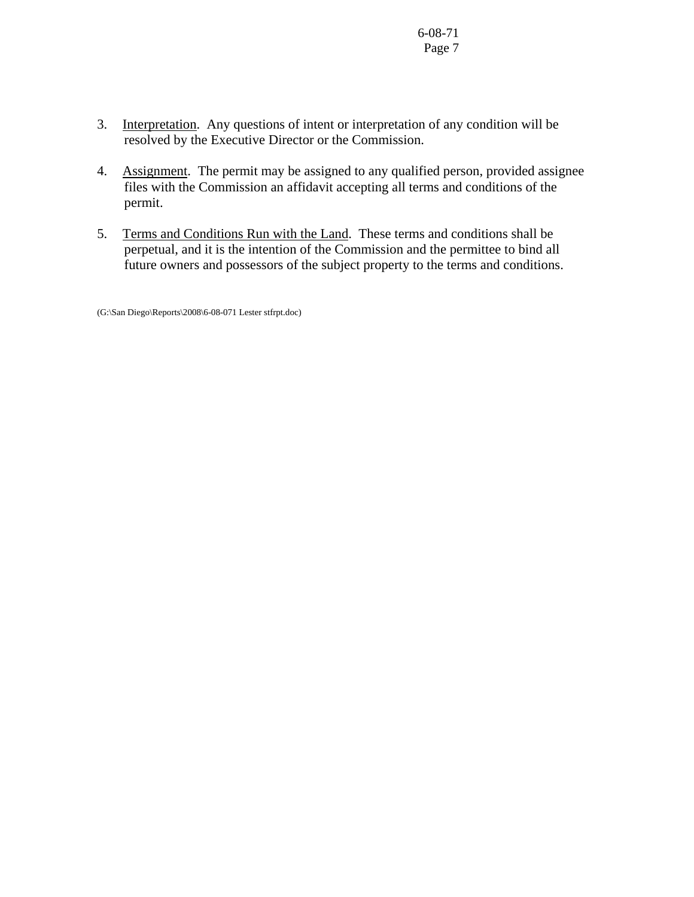- 3. Interpretation. Any questions of intent or interpretation of any condition will be resolved by the Executive Director or the Commission.
- 4. Assignment. The permit may be assigned to any qualified person, provided assignee files with the Commission an affidavit accepting all terms and conditions of the permit.
- 5. Terms and Conditions Run with the Land. These terms and conditions shall be perpetual, and it is the intention of the Commission and the permittee to bind all future owners and possessors of the subject property to the terms and conditions.

(G:\San Diego\Reports\2008\6-08-071 Lester stfrpt.doc)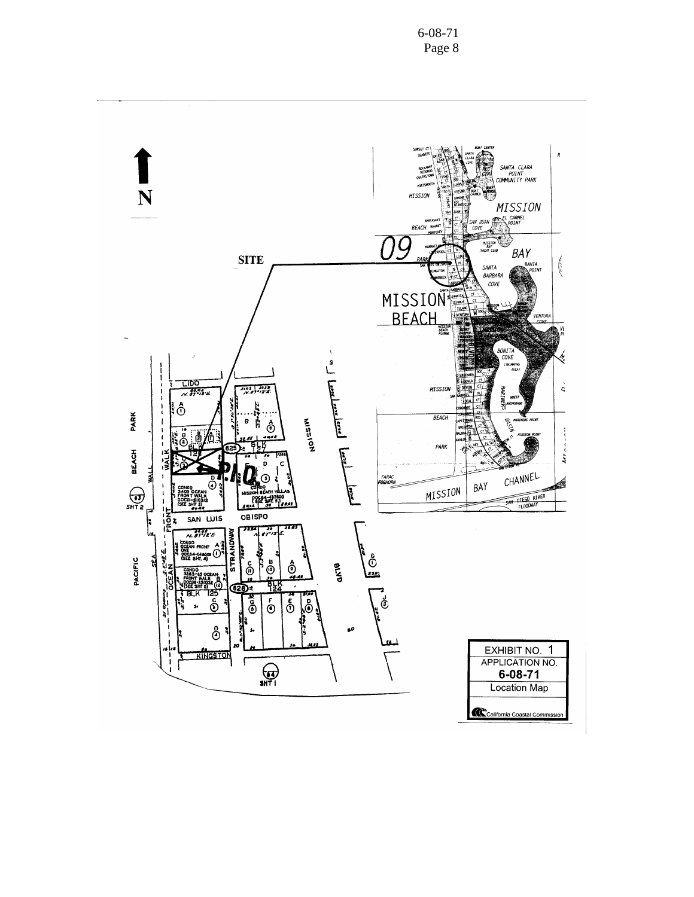